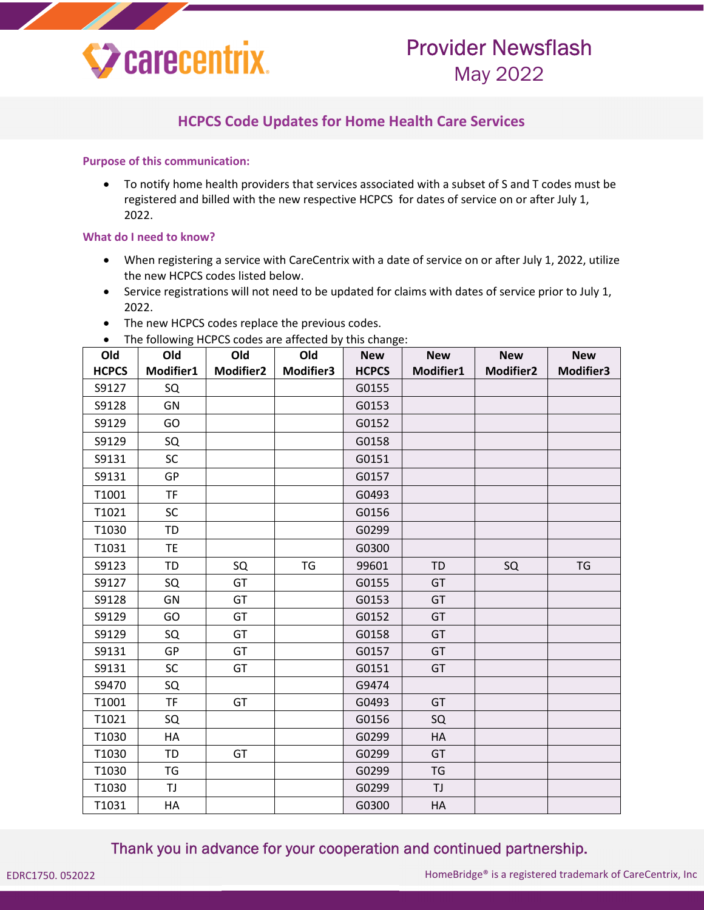

# Provider Newsflash May 2022

### **HCPCS Code Updates for Home Health Care Services**

#### **Purpose of this communication:**

 To notify home health providers that services associated with a subset of S and T codes must be registered and billed with the new respective HCPCS for dates of service on or after July 1, 2022.

#### **What do I need to know?**

- When registering a service with CareCentrix with a date of service on or after July 1, 2022, utilize the new HCPCS codes listed below.
- Service registrations will not need to be updated for claims with dates of service prior to July 1, 2022.
- The new HCPCS codes replace the previous codes.
- The following HCPCS codes are affected by this change:

| Old          | . <del>.</del><br>Old | Old              | Old       | <b>New</b>   | <b>New</b> | <b>New</b>       | <b>New</b> |
|--------------|-----------------------|------------------|-----------|--------------|------------|------------------|------------|
| <b>HCPCS</b> | Modifier1             | <b>Modifier2</b> | Modifier3 | <b>HCPCS</b> | Modifier1  | <b>Modifier2</b> | Modifier3  |
| S9127        | SQ                    |                  |           | G0155        |            |                  |            |
| S9128        | GN                    |                  |           | G0153        |            |                  |            |
| S9129        | GO                    |                  |           | G0152        |            |                  |            |
| S9129        | SQ                    |                  |           | G0158        |            |                  |            |
| S9131        | <b>SC</b>             |                  |           | G0151        |            |                  |            |
| S9131        | GP                    |                  |           | G0157        |            |                  |            |
| T1001        | <b>TF</b>             |                  |           | G0493        |            |                  |            |
| T1021        | <b>SC</b>             |                  |           | G0156        |            |                  |            |
| T1030        | TD                    |                  |           | G0299        |            |                  |            |
| T1031        | <b>TE</b>             |                  |           | G0300        |            |                  |            |
| S9123        | <b>TD</b>             | SQ               | <b>TG</b> | 99601        | <b>TD</b>  | SQ               | <b>TG</b>  |
| S9127        | SQ                    | GT               |           | G0155        | GT         |                  |            |
| S9128        | GN                    | GT               |           | G0153        | GT         |                  |            |
| S9129        | GO                    | GT               |           | G0152        | GT         |                  |            |
| S9129        | SQ                    | GT               |           | G0158        | GT         |                  |            |
| S9131        | GP                    | GT               |           | G0157        | GT         |                  |            |
| S9131        | <b>SC</b>             | GT               |           | G0151        | GT         |                  |            |
| S9470        | SQ                    |                  |           | G9474        |            |                  |            |
| T1001        | <b>TF</b>             | GT               |           | G0493        | GT         |                  |            |
| T1021        | SQ                    |                  |           | G0156        | SQ         |                  |            |
| T1030        | HA                    |                  |           | G0299        | <b>HA</b>  |                  |            |
| T1030        | <b>TD</b>             | GT               |           | G0299        | GT         |                  |            |
| T1030        | <b>TG</b>             |                  |           | G0299        | <b>TG</b>  |                  |            |
| T1030        | TJ                    |                  |           | G0299        | TJ         |                  |            |
| T1031        | HA                    |                  |           | G0300        | HA         |                  |            |

### Thank you in advance for your cooperation and continued partnership.